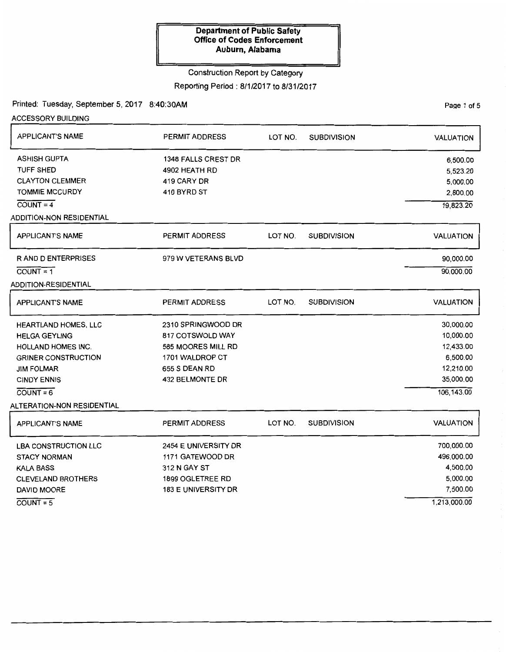### Construction Report by Category

Reporting Period: 8/1/2017 to 8/31/2017

Printed: Tuesday, September 5, 2017 8:40:30AM

ACCESSORY BUILDING

| <b>APPLICANT'S NAME</b>     | <b>PERMIT ADDRESS</b>      | LOT NO. | <b>SUBDIVISION</b> | <b>VALUATION</b> |
|-----------------------------|----------------------------|---------|--------------------|------------------|
| <b>ASHISH GUPTA</b>         | <b>1348 FALLS CREST DR</b> |         |                    | 6,500.00         |
| <b>TUFF SHED</b>            | 4902 HEATH RD              |         |                    | 5,523.20         |
| <b>CLAYTON CLEMMER</b>      | 419 CARY DR                |         |                    | 5,000.00         |
| <b>TOMMIE MCCURDY</b>       | 410 BYRD ST                |         |                    | 2,800.00         |
| $COUNT = 4$                 |                            |         |                    | 19,823.20        |
| ADDITION-NON RESIDENTIAL    |                            |         |                    |                  |
| <b>APPLICANT'S NAME</b>     | <b>PERMIT ADDRESS</b>      | LOT NO. | <b>SUBDIVISION</b> | <b>VALUATION</b> |
| <b>RAND DENTERPRISES</b>    | 979 W VETERANS BLVD        |         |                    | 90,000.00        |
| $COUNT = 1$                 |                            |         |                    | 90,000.00        |
| ADDITION-RESIDENTIAL        |                            |         |                    |                  |
| <b>APPLICANT'S NAME</b>     | <b>PERMIT ADDRESS</b>      | LOT NO. | <b>SUBDIVISION</b> | <b>VALUATION</b> |
| HEARTLAND HOMES, LLC        | 2310 SPRINGWOOD DR         |         |                    | 30,000.00        |
| <b>HELGA GEYLING</b>        | 817 COTSWOLD WAY           |         |                    | 10,000.00        |
| <b>HOLLAND HOMES INC.</b>   | 585 MOORES MILL RD         |         |                    | 12,433.00        |
| <b>GRINER CONSTRUCTION</b>  | 1701 WALDROP CT            |         |                    | 6,500.00         |
| <b>JIM FOLMAR</b>           | 655 S DEAN RD              |         |                    | 12,210.00        |
| <b>CINDY ENNIS</b>          | 432 BELMONTE DR            |         |                    | 35,000.00        |
| $COUNT = 6$                 |                            |         |                    | 106, 143.00      |
| ALTERATION-NON RESIDENTIAL  |                            |         |                    |                  |
| <b>APPLICANT'S NAME</b>     | <b>PERMIT ADDRESS</b>      | LOT NO. | <b>SUBDIVISION</b> | <b>VALUATION</b> |
| <b>LBA CONSTRUCTION LLC</b> | 2454 E UNIVERSITY DR       |         |                    | 700,000.00       |
| <b>STACY NORMAN</b>         | 1171 GATEWOOD DR           |         |                    | 496,000.00       |
| <b>KALA BASS</b>            | 312 N GAY ST               |         |                    | 4,500.00         |
| <b>CLEVELAND BROTHERS</b>   | 1899 OGLETREE RD           |         |                    | 5,000.00         |
| DAVID MOORE                 | <b>183 E UNIVERSITY DR</b> |         |                    | 7,500.00         |
| $COUNT = 5$                 |                            |         |                    | 1,213,000.00     |

Page 1 of 5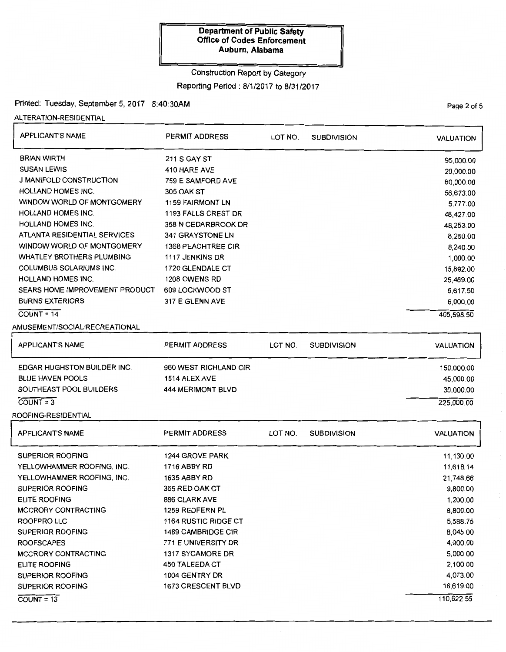# Construction Report by Category

Reporting Period: 8/1/2017 to 8/31/2017

## Printed: Tuesday, September 5, 2017 8:40:30AM

ALTERATION-RESIDENTIAL

| <b>APPLICANT'S NAME</b>            | <b>PERMIT ADDRESS</b>     | LOT NO. | <b>SUBDIVISION</b> | <b>VALUATION</b> |
|------------------------------------|---------------------------|---------|--------------------|------------------|
| <b>BRIAN WIRTH</b>                 | <b>211 S GAY ST</b>       |         |                    | 95,000.00        |
| <b>SUSAN LEWIS</b>                 | 410 HARE AVE              |         |                    | 20,000.00        |
| <b>J MANIFOLD CONSTRUCTION</b>     | 759 E SAMFORD AVE         |         |                    | 60,000.00        |
| <b>HOLLAND HOMES INC.</b>          | <b>305 OAK ST</b>         |         |                    | 56,673.00        |
| WINDOW WORLD OF MONTGOMERY         | <b>1159 FAIRMONT LN</b>   |         |                    | 5,777.00         |
| <b>HOLLAND HOMES INC.</b>          | 1193 FALLS CREST DR       |         |                    | 48,427.00        |
| <b>HOLLAND HOMES INC.</b>          | 358 N CEDARBROOK DR       |         |                    | 48,253.00        |
| ATLANTA RESIDENTIAL SERVICES       | 341 GRAYSTONE LN          |         |                    | 8,250.00         |
| WINDOW WORLD OF MONTGOMERY         | <b>1368 PEACHTREE CIR</b> |         |                    | 8,240.00         |
| <b>WHATLEY BROTHERS PLUMBING</b>   | 1117 JENKINS DR           |         |                    | 1,000.00         |
| <b>COLUMBUS SOLARIUMS INC.</b>     | 1720 GLENDALE CT          |         |                    | 15,892.00        |
| <b>HOLLAND HOMES INC.</b>          | 1208 OWENS RD             |         |                    | 25,469.00        |
| SEARS HOME IMPROVEMENT PRODUCT     | 609 LOCKWOOD ST           |         |                    | 6,617.50         |
| <b>BURNS EXTERIORS</b>             | 317 E GLENN AVE           |         |                    | 6,000.00         |
| $COUNT = 14$                       |                           |         |                    | 405,598.50       |
| AMUSEMENT/SOCIAL/RECREATIONAL      |                           |         |                    |                  |
| <b>APPLICANT'S NAME</b>            | PERMIT ADDRESS            | LOT NO. | <b>SUBDIVISION</b> | <b>VALUATION</b> |
| <b>EDGAR HUGHSTON BUILDER INC.</b> | 960 WEST RICHLAND CIR     |         |                    | 150,000.00       |
| <b>BLUE HAVEN POOLS</b>            | 1514 ALEX AVE             |         |                    | 45,000.00        |
| SOUTHEAST POOL BUILDERS            | <b>444 MERIMONT BLVD</b>  |         |                    | 30,000.00        |
| $COUNT = 3$                        |                           |         |                    | 225,000.00       |
| ROOFING-RESIDENTIAL                |                           |         |                    |                  |
| <b>APPLICANT'S NAME</b>            | <b>PERMIT ADDRESS</b>     | LOT NO. | <b>SUBDIVISION</b> | <b>VALUATION</b> |
| <b>SUPERIOR ROOFING</b>            | 1244 GROVE PARK           |         |                    | 11,130.00        |
| YELLOWHAMMER ROOFING, INC.         | 1716 ABBY RD              |         |                    | 11,618.14        |
| YELLOWHAMMER ROOFING, INC.         | <b>1635 ABBY RD</b>       |         |                    | 21,748.66        |
| SUPERIOR ROOFING                   | 365 RED OAK CT            |         |                    | 9,800 00         |
| <b>ELITE ROOFING</b>               | <b>886 CLARK AVE</b>      |         |                    | 1,200.00         |
| <b>MCCRORY CONTRACTING</b>         | 1259 REDFERN PL           |         |                    | 8,800.00         |
| <b>ROOFPRO LLC</b>                 | 1164 RUSTIC RIDGE CT      |         |                    | 5,588.75         |
| SUPERIOR ROOFING                   | <b>1489 CAMBRIDGE CIR</b> |         |                    | 8,045.00         |
| <b>ROOFSCAPES</b>                  | 771 E UNIVERSITY DR       |         |                    | 4,900.00         |
| <b>MCCRORY CONTRACTING</b>         | 1317 SYCAMORE DR          |         |                    | 5,000.00         |
| <b>ELITE ROOFING</b>               | <b>450 TALEEDA CT</b>     |         |                    | 2,100.00         |
| SUPERIOR ROOFING                   | 1004 GENTRY DR            |         |                    | 4,073.00         |
| <b>SUPERIOR ROOFING</b>            | 1673 CRESCENT BLVD        |         |                    | 16,619.00        |
| $COVNT = 13$                       |                           |         |                    | 110,622.55       |

Page 2 of 5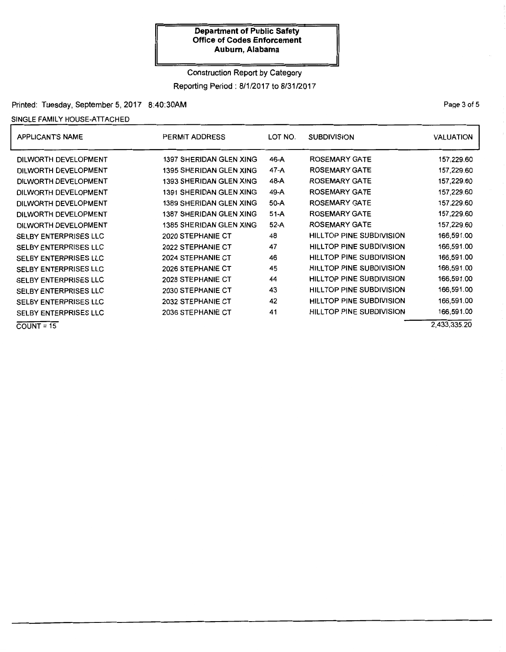## Construction Report by Category Reporting Period: 8/1/2017 to 8/31/2017

Printed: Tuesday, September 5, 2017 8:40:30AM

SINGLE FAMILY HOUSE-ATTACHED

| <b>APPLICANT'S NAME</b>      | LOT NO.<br>PERMIT ADDRESS      |        | <b>SUBDIVISION</b>              | <b>VALUATION</b> |
|------------------------------|--------------------------------|--------|---------------------------------|------------------|
| DILWORTH DEVELOPMENT         | 1397 SHERIDAN GLEN XING        | 46-A   | <b>ROSEMARY GATE</b>            | 157,229.60       |
| DILWORTH DEVELOPMENT         | 1395 SHERIDAN GLEN XING        | 47-A   | <b>ROSEMARY GATE</b>            | 157,229.60       |
| DILWORTH DEVELOPMENT         | <b>1393 SHERIDAN GLEN XING</b> | 48-A   | <b>ROSEMARY GATE</b>            | 157,229.60       |
| DILWORTH DEVELOPMENT         | <b>1391 SHERIDAN GLEN XING</b> | 49-A   | <b>ROSEMARY GATE</b>            | 157,229.60       |
| DILWORTH DEVELOPMENT         | <b>1389 SHERIDAN GLEN XING</b> | 50-A   | <b>ROSEMARY GATE</b>            | 157,229.60       |
| DILWORTH DEVELOPMENT         | 1387 SHERIDAN GLEN XING        | $51-A$ | <b>ROSEMARY GATE</b>            | 157,229.60       |
| DILWORTH DEVELOPMENT         | <b>1385 SHERIDAN GLEN XING</b> | $52-A$ | <b>ROSEMARY GATE</b>            | 157,229.60       |
| <b>SELBY ENTERPRISES LLC</b> | 2020 STEPHANIE CT              | 48     | <b>HILLTOP PINE SUBDIVISION</b> | 166,591.00       |
| <b>SELBY ENTERPRISES LLC</b> | 2022 STEPHANIE CT              | 47     | HILLTOP PINE SUBDIVISION        | 166,591.00       |
| SELBY ENTERPRISES LLC        | 2024 STEPHANIE CT              | 46     | <b>HILLTOP PINE SUBDIVISION</b> | 166,591.00       |
| SELBY ENTERPRISES LLC        | 2026 STEPHANIE CT              | 45     | HILLTOP PINE SUBDIVISION        | 166,591.00       |
| <b>SELBY ENTERPRISES LLC</b> | 2028 STEPHANIE CT              | 44     | HILLTOP PINE SUBDIVISION        | 166,591.00       |
| SELBY ENTERPRISES LLC        | 2030 STEPHANIE CT              | 43     | HILLTOP PINE SUBDIVISION        | 166,591.00       |
| <b>SELBY ENTERPRISES LLC</b> | 2032 STEPHANIE CT              | 42     | <b>HILLTOP PINE SUBDIVISION</b> | 166,591.00       |
| SELBY ENTERPRISES LLC        | <b>2036 STEPHANIE CT</b>       | 41     | HILLTOP PINE SUBDIVISION        | 166,591.00       |
| $COUNT = 15$                 |                                |        |                                 | 2.433.335.20     |

PaQe 3 of 5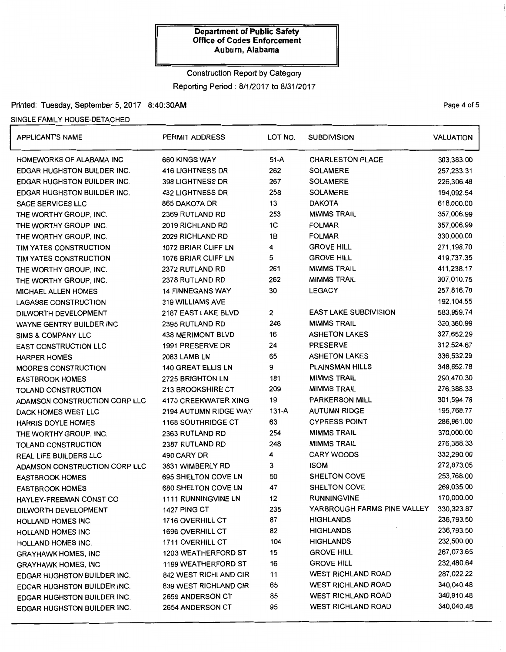# Construction Report by Category

Reporting Period: 8/1/2017 to 8/31/2017

## Printed: Tuesday, September 5, 2017 8:40:30AM example 2018 10:00:00 and 7:00:00 and 7:00:00 Page 4 of 5

### SINGLE FAMILY HOUSE-DETACHED

| <b>APPLICANT'S NAME</b>            | <b>PERMIT ADDRESS</b>      | LOT NO.        | <b>SUBDIVISION</b>           | <b>VALUATION</b> |
|------------------------------------|----------------------------|----------------|------------------------------|------------------|
| HOMEWORKS OF ALABAMA INC           | 660 KINGS WAY              | $51-A$         | <b>CHARLESTON PLACE</b>      | 303,383.00       |
| <b>EDGAR HUGHSTON BUILDER INC.</b> | <b>416 LIGHTNESS DR</b>    | 262            | <b>SOLAMERE</b>              | 257,233.31       |
| EDGAR HUGHSTON BUILDER INC.        | 398 LIGHTNESS DR           | 267            | <b>SOLAMERE</b>              | 226,306.48       |
| EDGAR HUGHSTON BUILDER INC.        | <b>432 LIGHTNESS DR</b>    | 258            | <b>SOLAMERE</b>              | 194,092.54       |
| <b>SAGE SERVICES LLC</b>           | 865 DAKOTA DR              | 13             | <b>DAKOTA</b>                | 618,000.00       |
| THE WORTHY GROUP, INC.             | 2369 RUTLAND RD            | 253            | <b>MIMMS TRAIL</b>           | 357,006.99       |
| THE WORTHY GROUP, INC.             | 2019 RICHLAND RD           | 1 <sub>C</sub> | <b>FOLMAR</b>                | 357,006.99       |
| THE WORTHY GROUP, INC.             | 2029 RICHLAND RD           | 1B             | <b>FOLMAR</b>                | 330,000.00       |
| TIM YATES CONSTRUCTION             | 1072 BRIAR CLIFF LN        | 4              | <b>GROVE HILL</b>            | 271,198.70       |
| TIM YATES CONSTRUCTION             | 1076 BRIAR CLIFF LN        | 5              | <b>GROVE HILL</b>            | 419,737.35       |
| THE WORTHY GROUP, INC.             | 2372 RUTLAND RD            | 261            | <b>MIMMS TRAIL</b>           | 411,238.17       |
| THE WORTHY GROUP, INC.             | 2378 RUTLAND RD            | 262            | <b>MIMMS TRAIL</b>           | 307,010.75       |
| <b>MICHAEL ALLEN HOMES</b>         | <b>14 FINNEGANS WAY</b>    | 30             | <b>LEGACY</b>                | 257,816.70       |
| <b>LAGASSE CONSTRUCTION</b>        | 319 WILLIAMS AVE           |                |                              | 192, 104.55      |
| DILWORTH DEVELOPMENT               | 2187 EAST LAKE BLVD        | $\overline{2}$ | <b>EAST LAKE SUBDIVISION</b> | 583,959.74       |
| WAYNE GENTRY BUILDER INC           | 2395 RUTLAND RD            | 246            | <b>MIMMS TRAIL</b>           | 320,360.99       |
| <b>SIMS &amp; COMPANY LLC</b>      | <b>438 MERIMONT BLVD</b>   | 16             | <b>ASHETON LAKES</b>         | 327,652.29       |
| EAST CONSTRUCTION LLC              | 1991 PRESERVE DR           | 24             | <b>PRESERVE</b>              | 312,524.67       |
| <b>HARPER HOMES</b>                | <b>2083 LAMB LN</b>        | 65             | <b>ASHETON LAKES</b>         | 336,532.29       |
| MOORE'S CONSTRUCTION               | 140 GREAT ELLIS LN         | 9              | <b>PLAINSMAN HILLS</b>       | 348,652.78       |
| <b>EASTBROOK HOMES</b>             | 2725 BRIGHTON LN           | 181            | <b>MIMMS TRAIL</b>           | 290,470.30       |
| TOLAND CONSTRUCTION                | 213 BROOKSHIRE CT          | 209            | <b>MIMMS TRAIL</b>           | 276,388.33       |
| ADAMSON CONSTRUCTION CORP LLC      | 4170 CREEKWATER XING       | 19             | <b>PARKERSON MILL</b>        | 301,594.78       |
| DACK HOMES WEST LLC                | 2194 AUTUMN RIDGE WAY      | $131-A$        | <b>AUTUMN RIDGE</b>          | 195,768.77       |
| <b>HARRIS DOYLE HOMES</b>          | <b>1168 SOUTHRIDGE CT</b>  | 63             | <b>CYPRESS POINT</b>         | 286,961.00       |
| THE WORTHY GROUP, INC.             | 2363 RUTLAND RD            | 254            | <b>MIMMS TRAIL</b>           | 370,000.00       |
| TOLAND CONSTRUCTION                | 2387 RUTLAND RD            | 248            | <b>MIMMS TRAIL</b>           | 276,388.33       |
| <b>REAL LIFE BUILDERS LLC</b>      | 490 CARY DR                | 4              | <b>CARY WOODS</b>            | 332,290.00       |
| ADAMSON CONSTRUCTION CORP LLC      | 3831 WIMBERLY RD           | 3              | <b>ISOM</b>                  | 272,873.05       |
| <b>EASTBROOK HOMES</b>             | 695 SHELTON COVE LN        | 50             | SHELTON COVE                 | 253,768.00       |
| <b>EASTBROOK HOMES</b>             | 680 SHELTON COVE LN        | 47             | <b>SHELTON COVE</b>          | 269,035.00       |
| HAYLEY-FREEMAN CONST CO            | 1111 RUNNINGVINE LN        | 12             | <b>RUNNINGVINE</b>           | 170,000.00       |
| DILWORTH DEVELOPMENT               | <b>1427 PING CT</b>        | 235            | YARBROUGH FARMS PINE VALLEY  | 330, 323.87      |
| HOLLAND HOMES INC.                 | 1716 OVERHILL CT           | 87             | <b>HIGHLANDS</b>             | 236,793.50       |
| <b>HOLLAND HOMES INC.</b>          | 1696 OVERHILL CT           | 82             | <b>HIGHLANDS</b>             | 236,793.50       |
| HOLLAND HOMES INC.                 | <b>1711 OVERHILL CT</b>    | 104            | <b>HIGHLANDS</b>             | 232,500.00       |
| <b>GRAYHAWK HOMES, INC</b>         | <b>1203 WEATHERFORD ST</b> | 15             | <b>GROVE HILL</b>            | 267,073.65       |
| <b>GRAYHAWK HOMES, INC</b>         | 1199 WEATHERFORD ST        | 16             | <b>GROVE HILL</b>            | 232,480.64       |
| EDGAR HUGHSTON BUILDER INC.        | 842 WEST RICHLAND CIR      | 11             | <b>WEST RICHLAND ROAD</b>    | 287,022.22       |
| EDGAR HUGHSTON BUILDER INC.        | 839 WEST RICHLAND CIR      | 65             | <b>WEST RICHLAND ROAD</b>    | 340,040.48       |
| EDGAR HUGHSTON BUILDER INC.        | 2659 ANDERSON CT           | 85             | <b>WEST RICHLAND ROAD</b>    | 340,910.48       |
| EDGAR HUGHSTON BUILDER INC.        | 2654 ANDERSON CT           | 95             | <b>WEST RICHLAND ROAD</b>    | 340,040.48       |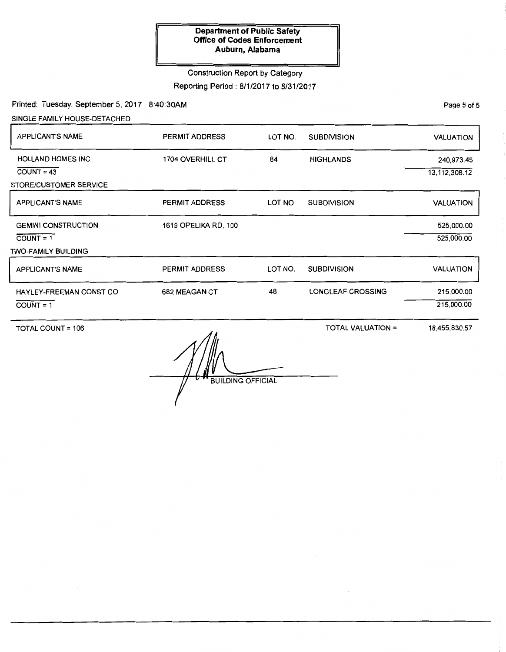## Construction Report by Category

Reporting Period: 8/1/2017 to 8/31/2017

Printed: Tuesday, September 5, 2017 8:40:30AM

SINGLE FAMILY HOUSE-DETACHED

| <b>APPLICANT'S NAME</b>                                             | PERMIT ADDRESS          | LOT NO. | <b>SUBDIVISION</b>       | <b>VALUATION</b>               |
|---------------------------------------------------------------------|-------------------------|---------|--------------------------|--------------------------------|
| <b>HOLLAND HOMES INC.</b><br>$COUNT = 43$<br>STORE/CUSTOMER SERVICE | <b>1704 OVERHILL CT</b> | 84      | <b>HIGHLANDS</b>         | 240,973.45<br>13, 112, 308. 12 |
| <b>APPLICANT'S NAME</b>                                             | <b>PERMIT ADDRESS</b>   | LOT NO. | <b>SUBDIVISION</b>       | <b>VALUATION</b>               |
| <b>GEMINI CONSTRUCTION</b><br>$COUNT = 1$<br>TWO-FAMILY BUILDING    | 1619 OPELIKA RD, 100    |         |                          | 525,000.00<br>525,000.00       |
| <b>APPLICANT'S NAME</b>                                             | <b>PERMIT ADDRESS</b>   | LOT NO. | <b>SUBDIVISION</b>       | <b>VALUATION</b>               |
| HAYLEY-FREEMAN CONST CO<br>$COUNT = 1$                              | 682 MEAGAN CT           | 48      | <b>LONGLEAF CROSSING</b> | 215,000.00<br>215,000.00       |

TOTAL COUNT= 106

TOTAL VALUATION=

18,455,830.57

**BUILDING OFFICIAL** 

PaQe 5 of 5